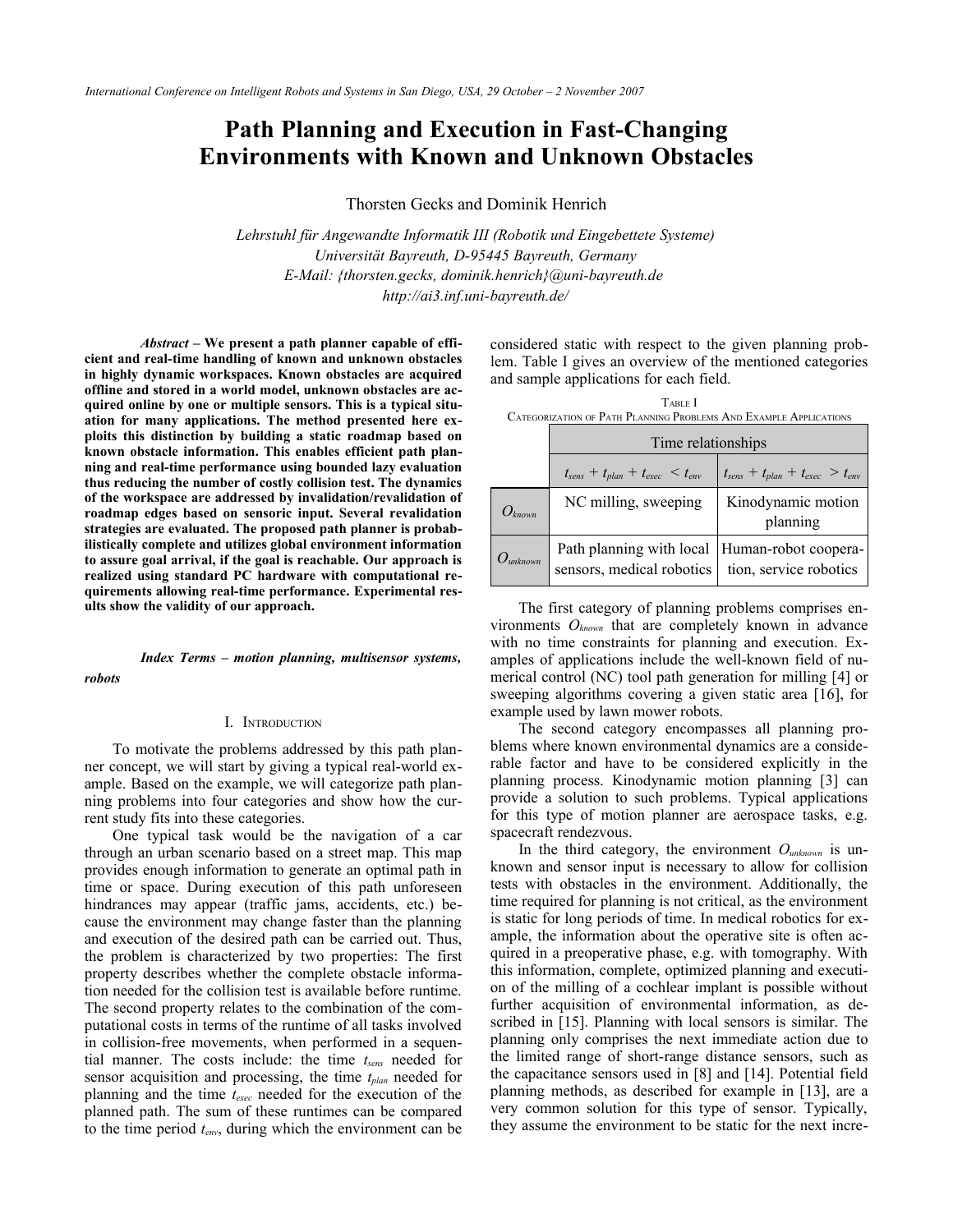# **Path Planning and Execution in Fast-Changing Environments with Known and Unknown Obstacles**

Thorsten Gecks and Dominik Henrich

*Lehrstuhl für Angewandte Informatik III (Robotik und Eingebettete Systeme) Universität Bayreuth, D-95445 Bayreuth, Germany E-Mail: {thorsten.gecks, dominik.henrich}@uni-bayreuth.de http://ai3.inf.uni-bayreuth.de/*

*Abstract* **– We present a path planner capable of efficient and real-time handling of known and unknown obstacles in highly dynamic workspaces. Known obstacles are acquired offline and stored in a world model, unknown obstacles are acquired online by one or multiple sensors. This is a typical situation for many applications. The method presented here exploits this distinction by building a static roadmap based on known obstacle information. This enables efficient path planning and real-time performance using bounded lazy evaluation thus reducing the number of costly collision test. The dynamics of the workspace are addressed by invalidation/revalidation of roadmap edges based on sensoric input. Several revalidation strategies are evaluated. The proposed path planner is probabilistically complete and utilizes global environment information to assure goal arrival, if the goal is reachable. Our approach is realized using standard PC hardware with computational requirements allowing real-time performance. Experimental results show the validity of our approach.**

*Index Terms – motion planning, multisensor systems,*

## <span id="page-0-1"></span>I. INTRODUCTION

*robots*

To motivate the problems addressed by this path planner concept, we will start by giving a typical real-world example. Based on the example, we will categorize path planning problems into four categories and show how the current study fits into these categories.

One typical task would be the navigation of a car through an urban scenario based on a street map. This map provides enough information to generate an optimal path in time or space. During execution of this path unforeseen hindrances may appear (traffic jams, accidents, etc.) because the environment may change faster than the planning and execution of the desired path can be carried out. Thus, the problem is characterized by two properties: The first property describes whether the complete obstacle information needed for the collision test is available before runtime. The second property relates to the combination of the computational costs in terms of the runtime of all tasks involved in collision-free movements, when performed in a sequential manner. The costs include: the time *tsens* needed for sensor acquisition and processing, the time *tplan* needed for planning and the time *texec* needed for the execution of the planned path. The sum of these runtimes can be compared to the time period *tenv*, during which the environment can be considered static with respect to the given planning problem. Table [I](#page-0-0) gives an overview of the mentioned categories and sample applications for each field.

<span id="page-0-0"></span>

| <b>TABLE</b> I                                                    |                    |  |  |  |
|-------------------------------------------------------------------|--------------------|--|--|--|
| CATEGORIZATION OF PATH PLANNING PROBLEMS AND EXAMPLE APPLICATIONS |                    |  |  |  |
|                                                                   |                    |  |  |  |
|                                                                   | Time relationships |  |  |  |

|                      | Time relationships                                                           |                                            |  |  |
|----------------------|------------------------------------------------------------------------------|--------------------------------------------|--|--|
|                      | $t_{sens} + t_{plan} + t_{exec} < t_{env}$                                   | $t_{sens} + t_{plan} + t_{exec} > t_{env}$ |  |  |
| $O_{known}$          | NC milling, sweeping                                                         | Kinodynamic motion<br>planning             |  |  |
| O <sub>unknown</sub> | Path planning with local   Human-robot coopera-<br>sensors, medical robotics | tion, service robotics                     |  |  |

The first category of planning problems comprises environments *Oknown* that are completely known in advance with no time constraints for planning and execution. Examples of applications include the well-known field of numerical control (NC) tool path generation for milling [\[4\]](#page-5-6) or sweeping algorithms covering a given static area [\[16\]](#page-5-5), for example used by lawn mower robots.

The second category encompasses all planning problems where known environmental dynamics are a considerable factor and have to be considered explicitly in the planning process. Kinodynamic motion planning [\[3\]](#page-5-4) can provide a solution to such problems. Typical applications for this type of motion planner are aerospace tasks, e.g. spacecraft rendezvous.

In the third category, the environment  $O_{unknown}$  is unknown and sensor input is necessary to allow for collision tests with obstacles in the environment. Additionally, the time required for planning is not critical, as the environment is static for long periods of time. In medical robotics for example, the information about the operative site is often acquired in a preoperative phase, e.g. with tomography. With this information, complete, optimized planning and execution of the milling of a cochlear implant is possible without further acquisition of environmental information, as described in [\[15\]](#page-5-3). Planning with local sensors is similar. The planning only comprises the next immediate action due to the limited range of short-range distance sensors, such as the capacitance sensors used in [\[8\]](#page-5-2) and [\[14\]](#page-5-1). Potential field planning methods, as described for example in [\[13\]](#page-5-0), are a very common solution for this type of sensor. Typically, they assume the environment to be static for the next incre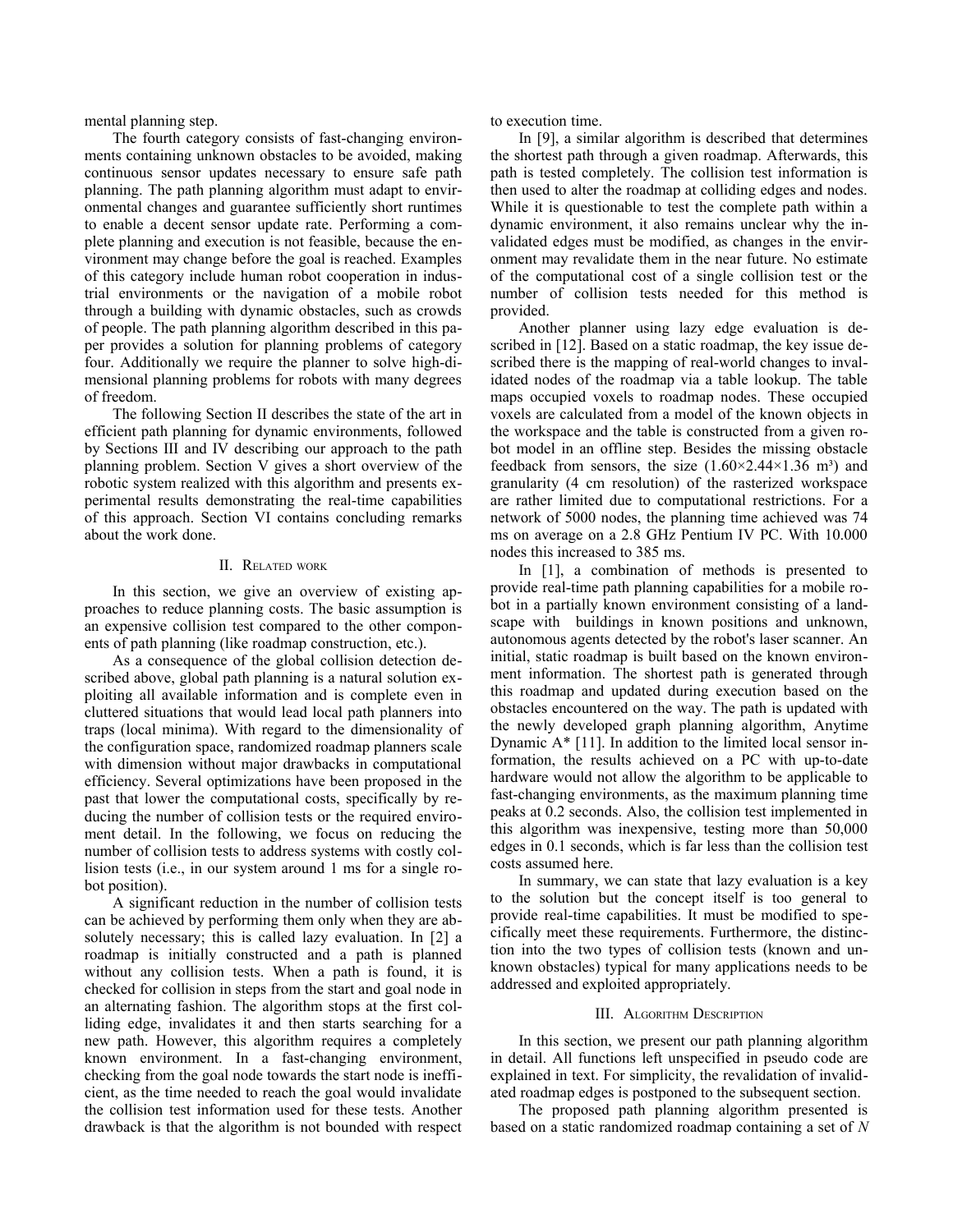mental planning step.

The fourth category consists of fast-changing environments containing unknown obstacles to be avoided, making continuous sensor updates necessary to ensure safe path planning. The path planning algorithm must adapt to environmental changes and guarantee sufficiently short runtimes to enable a decent sensor update rate. Performing a complete planning and execution is not feasible, because the environment may change before the goal is reached. Examples of this category include human robot cooperation in industrial environments or the navigation of a mobile robot through a building with dynamic obstacles, such as crowds of people. The path planning algorithm described in this paper provides a solution for planning problems of category four. Additionally we require the planner to solve high-dimensional planning problems for robots with many degrees of freedom.

The following Section [II](#page-1-1) describes the state of the art in efficient path planning for dynamic environments, followed by Sections [III](#page-1-0) and [IV](#page-2-0) describing our approach to the path planning problem. Section [V](#page-3-0) gives a short overview of the robotic system realized with this algorithm and presents experimental results demonstrating the real-time capabilities of this approach. Section [VI](#page-5-12) contains concluding remarks about the work done.

#### <span id="page-1-1"></span>II. RELATED WORK

In this section, we give an overview of existing approaches to reduce planning costs. The basic assumption is an expensive collision test compared to the other components of path planning (like roadmap construction, etc.).

As a consequence of the global collision detection described above, global path planning is a natural solution exploiting all available information and is complete even in cluttered situations that would lead local path planners into traps (local minima). With regard to the dimensionality of the configuration space, randomized roadmap planners scale with dimension without major drawbacks in computational efficiency. Several optimizations have been proposed in the past that lower the computational costs, specifically by reducing the number of collision tests or the required enviroment detail. In the following, we focus on reducing the number of collision tests to address systems with costly collision tests (i.e., in our system around 1 ms for a single robot position).

A significant reduction in the number of collision tests can be achieved by performing them only when they are absolutely necessary; this is called lazy evaluation. In [\[2\]](#page-5-11) a roadmap is initially constructed and a path is planned without any collision tests. When a path is found, it is checked for collision in steps from the start and goal node in an alternating fashion. The algorithm stops at the first colliding edge, invalidates it and then starts searching for a new path. However, this algorithm requires a completely known environment. In a fast-changing environment, checking from the goal node towards the start node is inefficient, as the time needed to reach the goal would invalidate the collision test information used for these tests. Another drawback is that the algorithm is not bounded with respect

to execution time.

In [\[9\]](#page-5-10), a similar algorithm is described that determines the shortest path through a given roadmap. Afterwards, this path is tested completely. The collision test information is then used to alter the roadmap at colliding edges and nodes. While it is questionable to test the complete path within a dynamic environment, it also remains unclear why the invalidated edges must be modified, as changes in the environment may revalidate them in the near future. No estimate of the computational cost of a single collision test or the number of collision tests needed for this method is provided.

Another planner using lazy edge evaluation is de-scribed in [\[12\]](#page-5-9). Based on a static roadmap, the key issue described there is the mapping of real-world changes to invalidated nodes of the roadmap via a table lookup. The table maps occupied voxels to roadmap nodes. These occupied voxels are calculated from a model of the known objects in the workspace and the table is constructed from a given robot model in an offline step. Besides the missing obstacle feedback from sensors, the size  $(1.60\times2.44\times1.36$  m<sup>3</sup>) and granularity (4 cm resolution) of the rasterized workspace are rather limited due to computational restrictions. For a network of 5000 nodes, the planning time achieved was 74 ms on average on a 2.8 GHz Pentium IV PC. With 10.000 nodes this increased to 385 ms.

In [\[1\]](#page-5-8), a combination of methods is presented to provide real-time path planning capabilities for a mobile robot in a partially known environment consisting of a landscape with buildings in known positions and unknown, autonomous agents detected by the robot's laser scanner. An initial, static roadmap is built based on the known environment information. The shortest path is generated through this roadmap and updated during execution based on the obstacles encountered on the way. The path is updated with the newly developed graph planning algorithm, Anytime Dynamic A\* [\[11\]](#page-5-7). In addition to the limited local sensor information, the results achieved on a PC with up-to-date hardware would not allow the algorithm to be applicable to fast-changing environments, as the maximum planning time peaks at 0.2 seconds. Also, the collision test implemented in this algorithm was inexpensive, testing more than 50,000 edges in 0.1 seconds, which is far less than the collision test costs assumed here.

In summary, we can state that lazy evaluation is a key to the solution but the concept itself is too general to provide real-time capabilities. It must be modified to specifically meet these requirements. Furthermore, the distinction into the two types of collision tests (known and unknown obstacles) typical for many applications needs to be addressed and exploited appropriately.

#### <span id="page-1-0"></span>III. ALGORITHM DESCRIPTION

In this section, we present our path planning algorithm in detail. All functions left unspecified in pseudo code are explained in text. For simplicity, the revalidation of invalidated roadmap edges is postponed to the subsequent section.

The proposed path planning algorithm presented is based on a static randomized roadmap containing a set of *N*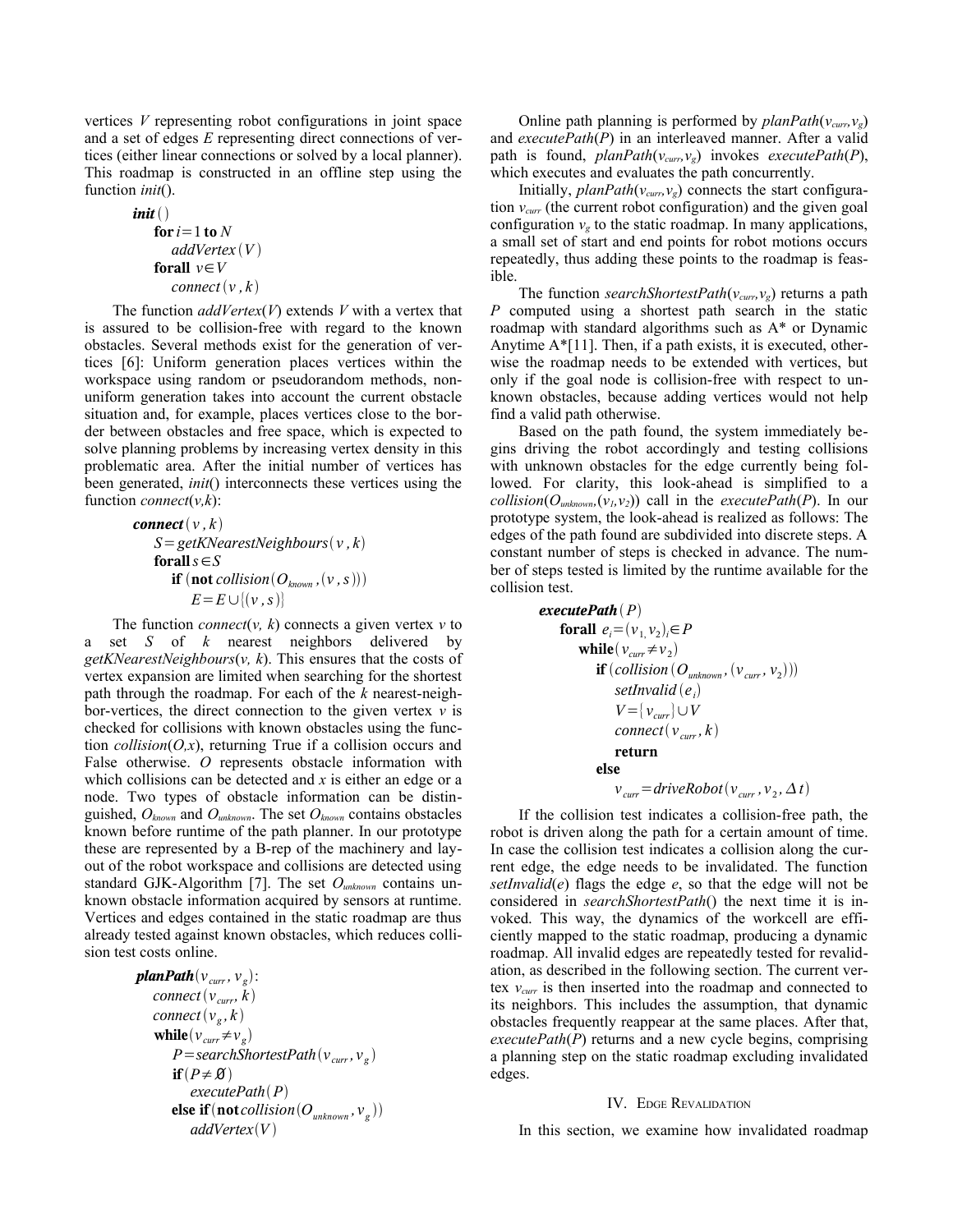vertices *V* representing robot configurations in joint space and a set of edges *E* representing direct connections of vertices (either linear connections or solved by a local planner). This roadmap is constructed in an offline step using the function *init*().

$$
\begin{array}{c}\n\textbf{init} \, () \\
\textbf{for } i = 1 \text{ to } N \\
\textbf{and} \textbf{Vertex} \, (V) \\
\textbf{for all } v \in V \\
\textbf{connect} \, (v, k)\n\end{array}
$$

The function *addVertex*(*V*) extends *V* with a vertex that is assured to be collision-free with regard to the known obstacles. Several methods exist for the generation of vertices [\[6\]](#page-5-14): Uniform generation places vertices within the workspace using random or pseudorandom methods, nonuniform generation takes into account the current obstacle situation and, for example, places vertices close to the border between obstacles and free space, which is expected to solve planning problems by increasing vertex density in this problematic area. After the initial number of vertices has been generated, *init*() interconnects these vertices using the function *connect*(*v,k*):

**connect**(*v*, *k*)  
\n
$$
S = getKNearestNeighbors(v, k)
$$
\n**for all**  $s \in S$   
\n**if** (**not** *collision*(*O<sub>known</sub>*, (*v*, *s*)))  
\n
$$
E = E \cup \{(v, s)\}
$$

The function *connect*( $v$ ,  $k$ ) connects a given vertex  $v$  to a set *S* of *k* nearest neighbors delivered by *getKNearestNeighbours*(*v, k*). This ensures that the costs of vertex expansion are limited when searching for the shortest path through the roadmap. For each of the *k* nearest-neighbor-vertices, the direct connection to the given vertex  $v$  is checked for collisions with known obstacles using the function *collision*(*O,x*), returning True if a collision occurs and False otherwise. *O* represents obstacle information with which collisions can be detected and *x* is either an edge or a node. Two types of obstacle information can be distinguished, *Oknown* and *Ounknown*. The set *Oknown* contains obstacles known before runtime of the path planner. In our prototype these are represented by a B-rep of the machinery and layout of the robot workspace and collisions are detected using standard GJK-Algorithm [\[7\]](#page-5-13). The set *Ounknown* contains unknown obstacle information acquired by sensors at runtime. Vertices and edges contained in the static roadmap are thus already tested against known obstacles, which reduces collision test costs online.

$$
\begin{aligned}\n\text{planPath}(v_{\text{curr}}, v_g): \\
\text{connect}(v_{\text{curr}}, k) \\
\text{connect}(v_g, k) \\
\text{while}(v_{\text{curr}} \neq v_g) \\
P = \text{searchShortestPath}(v_{\text{curr}}, v_g) \\
\text{if}(P \neq \emptyset) \\
\text{executePath}(P) \\
\text{else if}(\text{not collision}(O_{\text{unknown}}, v_g)) \\
\text{addVertex}(V)\n\end{aligned}
$$

Online path planning is performed by  $planPath(v_{curr},v_g)$ and *executePath*(*P*) in an interleaved manner. After a valid path is found, *planPath*(*vcurr,vg*) invokes *executePath*(*P*), which executes and evaluates the path concurrently.

Initially,  $planPath(v_{curr},v_g)$  connects the start configuration *vcurr* (the current robot configuration) and the given goal configuration  $v_g$  to the static roadmap. In many applications, a small set of start and end points for robot motions occurs repeatedly, thus adding these points to the roadmap is feasible.

The function *searchShortestPath*(*vcurr,vg*) returns a path *P* computed using a shortest path search in the static roadmap with standard algorithms such as A\* or Dynamic Anytime  $A^*[11]$  $A^*[11]$ . Then, if a path exists, it is executed, otherwise the roadmap needs to be extended with vertices, but only if the goal node is collision-free with respect to unknown obstacles, because adding vertices would not help find a valid path otherwise.

Based on the path found, the system immediately begins driving the robot accordingly and testing collisions with unknown obstacles for the edge currently being followed. For clarity, this look-ahead is simplified to a *collision*( $O_{unknown}$ , $(v_1, v_2)$ ) call in the *executePath*(*P*). In our prototype system, the look-ahead is realized as follows: The edges of the path found are subdivided into discrete steps. A constant number of steps is checked in advance. The number of steps tested is limited by the runtime available for the collision test.

*executePath* (*P*)  
\n**for all** 
$$
e_i = (v_1, v_2)_i \in P
$$
  
\n**while**  $(v_{curr} \neq v_2)$   
\n**if** (*collision* ( $O_{unknown}$ ,  $(v_{curr}, v_2)$ )))  
\n*setInvalid* ( $e_i$ )  
\n $V = \{v_{curr}\} \cup V$   
\n*connect* ( $v_{curr}$ , *k*)  
\n**return**  
\n**else**  
\n $v_{curr} = driveRoot(v_{curr}, v_2, \Delta t)$ 

If the collision test indicates a collision-free path, the robot is driven along the path for a certain amount of time. In case the collision test indicates a collision along the current edge, the edge needs to be invalidated. The function *setInvalid*(*e*) flags the edge *e*, so that the edge will not be considered in *searchShortestPath*() the next time it is invoked. This way, the dynamics of the workcell are efficiently mapped to the static roadmap, producing a dynamic roadmap. All invalid edges are repeatedly tested for revalidation, as described in the following section. The current vertex  $v_{\text{curr}}$  is then inserted into the roadmap and connected to its neighbors. This includes the assumption, that dynamic obstacles frequently reappear at the same places. After that, *executePath*(*P*) returns and a new cycle begins, comprising a planning step on the static roadmap excluding invalidated edges.

## <span id="page-2-0"></span>IV. EDGE REVALIDATION

In this section, we examine how invalidated roadmap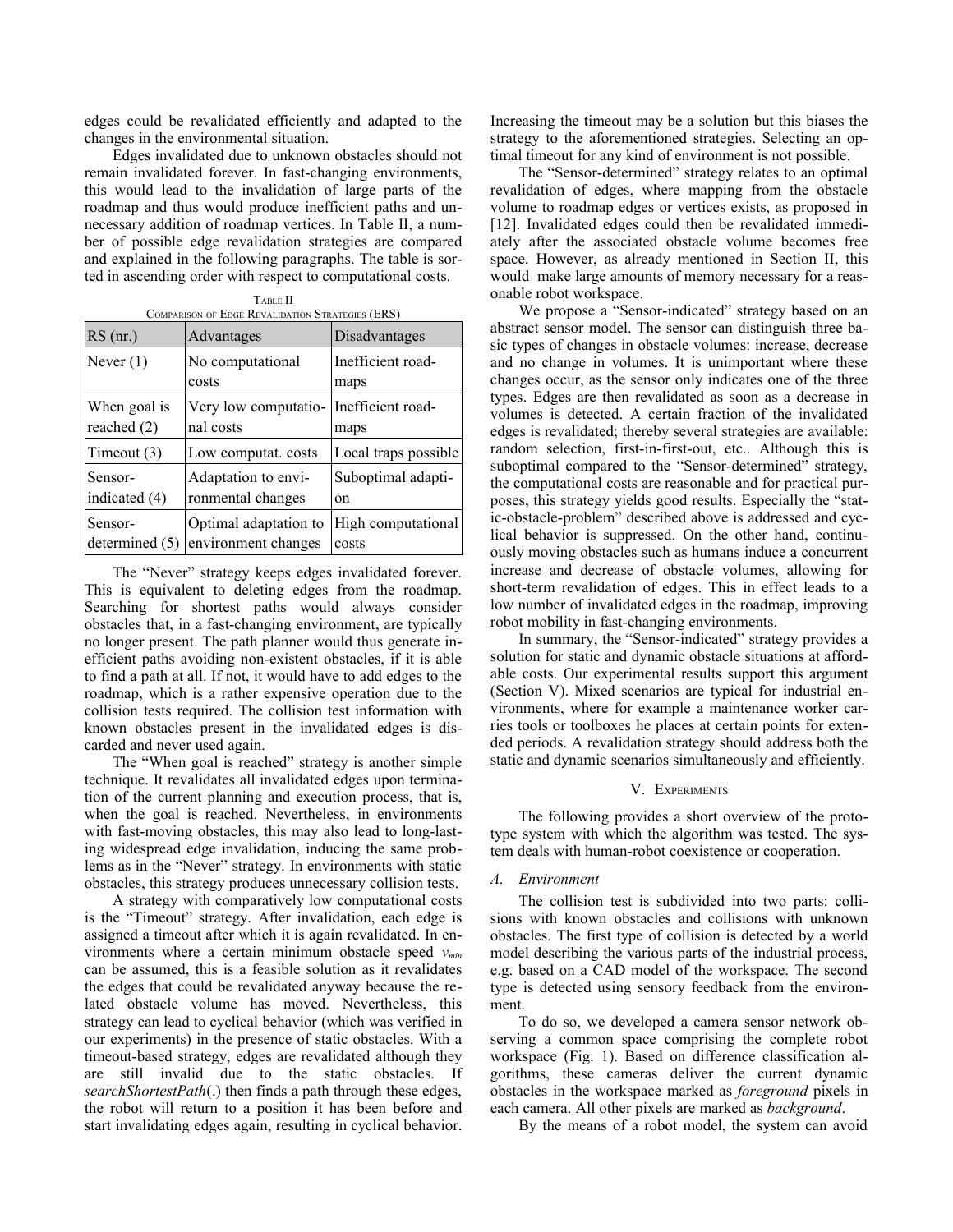edges could be revalidated efficiently and adapted to the changes in the environmental situation.

Edges invalidated due to unknown obstacles should not remain invalidated forever. In fast-changing environments, this would lead to the invalidation of large parts of the roadmap and thus would produce inefficient paths and unnecessary addition of roadmap vertices. In Table [II,](#page-3-1) a number of possible edge revalidation strategies are compared and explained in the following paragraphs. The table is sorted in ascending order with respect to computational costs.

| $RS$ (nr.)     | Advantages            | Disadvantages        |
|----------------|-----------------------|----------------------|
| Never $(1)$    | No computational      | Inefficient road-    |
|                | costs                 | maps                 |
| When goal is   | Very low computatio-  | Inefficient road-    |
| reached $(2)$  | nal costs             | maps                 |
| Timeout $(3)$  | Low computat. costs   | Local traps possible |
| Sensor-        | Adaptation to envi-   | Suboptimal adapti-   |
| indicated (4)  | ronmental changes     | 0n                   |
| Sensor-        | Optimal adaptation to | High computational   |
| determined (5) | environment changes   | costs                |

<span id="page-3-1"></span>TABLE II COMPARISON OF EDGE REVALIDATION STRATEGIES (ERS)

The "Never" strategy keeps edges invalidated forever. This is equivalent to deleting edges from the roadmap. Searching for shortest paths would always consider obstacles that, in a fast-changing environment, are typically no longer present. The path planner would thus generate inefficient paths avoiding non-existent obstacles, if it is able to find a path at all. If not, it would have to add edges to the roadmap, which is a rather expensive operation due to the collision tests required. The collision test information with known obstacles present in the invalidated edges is discarded and never used again.

The "When goal is reached" strategy is another simple technique. It revalidates all invalidated edges upon termination of the current planning and execution process, that is, when the goal is reached. Nevertheless, in environments with fast-moving obstacles, this may also lead to long-lasting widespread edge invalidation, inducing the same problems as in the "Never" strategy. In environments with static obstacles, this strategy produces unnecessary collision tests.

A strategy with comparatively low computational costs is the "Timeout" strategy. After invalidation, each edge is assigned a timeout after which it is again revalidated. In environments where a certain minimum obstacle speed *vmin* can be assumed, this is a feasible solution as it revalidates the edges that could be revalidated anyway because the related obstacle volume has moved. Nevertheless, this strategy can lead to cyclical behavior (which was verified in our experiments) in the presence of static obstacles. With a timeout-based strategy, edges are revalidated although they are still invalid due to the static obstacles. If *searchShortestPath*(.) then finds a path through these edges, the robot will return to a position it has been before and start invalidating edges again, resulting in cyclical behavior.

Increasing the timeout may be a solution but this biases the strategy to the aforementioned strategies. Selecting an optimal timeout for any kind of environment is not possible.

The "Sensor-determined" strategy relates to an optimal revalidation of edges, where mapping from the obstacle volume to roadmap edges or vertices exists, as proposed in [\[12\]](#page-5-9). Invalidated edges could then be revalidated immediately after the associated obstacle volume becomes free space. However, as already mentioned in Section [II,](#page-1-1) this would make large amounts of memory necessary for a reasonable robot workspace.

We propose a "Sensor-indicated" strategy based on an abstract sensor model. The sensor can distinguish three basic types of changes in obstacle volumes: increase, decrease and no change in volumes. It is unimportant where these changes occur, as the sensor only indicates one of the three types. Edges are then revalidated as soon as a decrease in volumes is detected. A certain fraction of the invalidated edges is revalidated; thereby several strategies are available: random selection, first-in-first-out, etc.. Although this is suboptimal compared to the "Sensor-determined" strategy, the computational costs are reasonable and for practical purposes, this strategy yields good results. Especially the "static-obstacle-problem" described above is addressed and cyclical behavior is suppressed. On the other hand, continuously moving obstacles such as humans induce a concurrent increase and decrease of obstacle volumes, allowing for short-term revalidation of edges. This in effect leads to a low number of invalidated edges in the roadmap, improving robot mobility in fast-changing environments.

In summary, the "Sensor-indicated" strategy provides a solution for static and dynamic obstacle situations at affordable costs. Our experimental results support this argument (Section [V\)](#page-3-0). Mixed scenarios are typical for industrial environments, where for example a maintenance worker carries tools or toolboxes he places at certain points for extended periods. A revalidation strategy should address both the static and dynamic scenarios simultaneously and efficiently.

# <span id="page-3-0"></span>V. EXPERIMENTS

The following provides a short overview of the prototype system with which the algorithm was tested. The system deals with human-robot coexistence or cooperation.

## *A. Environment*

The collision test is subdivided into two parts: collisions with known obstacles and collisions with unknown obstacles. The first type of collision is detected by a world model describing the various parts of the industrial process, e.g. based on a CAD model of the workspace. The second type is detected using sensory feedback from the environment.

To do so, we developed a camera sensor network observing a common space comprising the complete robot workspace (Fig. [1\)](#page-4-0). Based on difference classification algorithms, these cameras deliver the current dynamic obstacles in the workspace marked as *foreground* pixels in each camera. All other pixels are marked as *background*.

By the means of a robot model, the system can avoid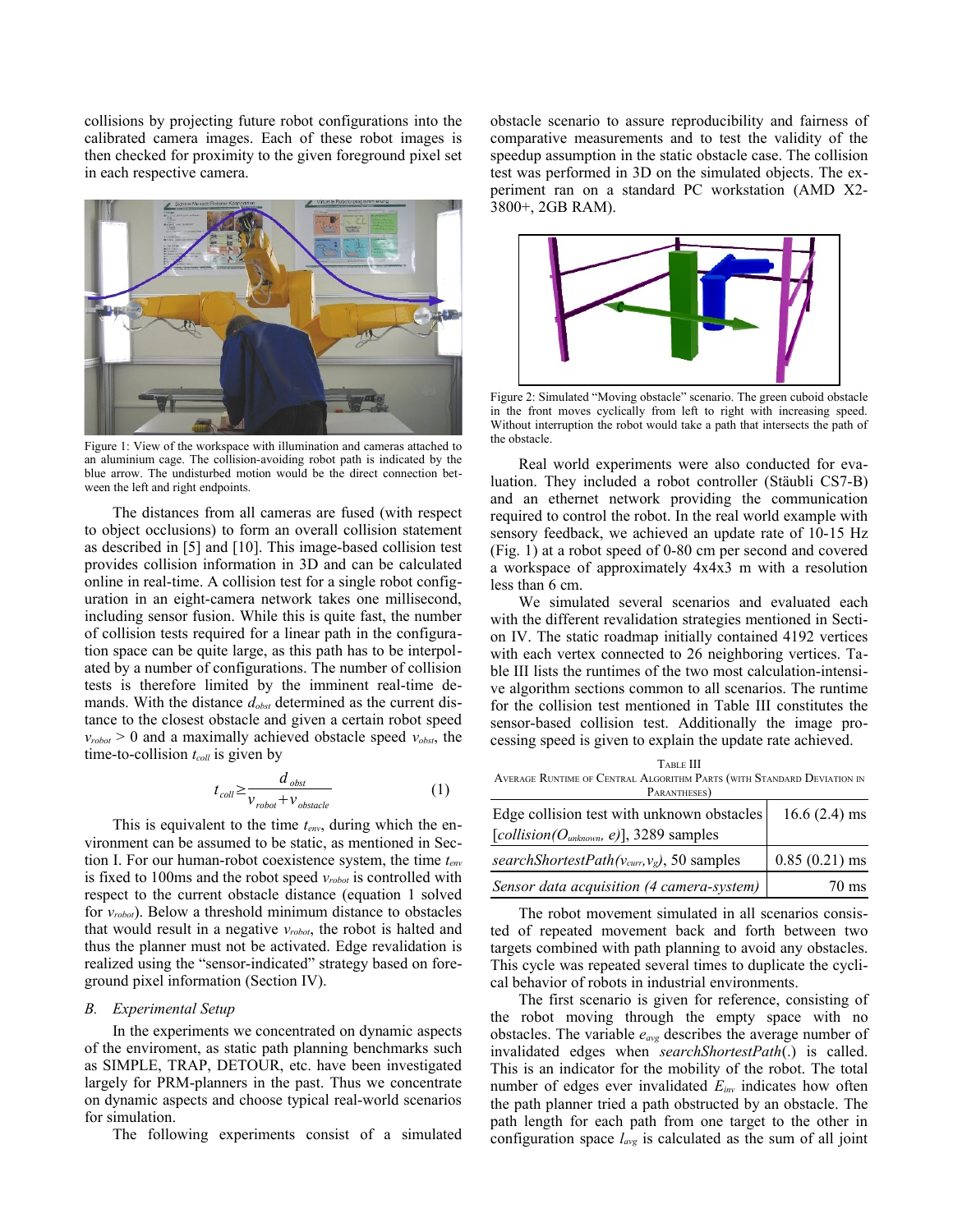collisions by projecting future robot configurations into the calibrated camera images. Each of these robot images is then checked for proximity to the given foreground pixel set in each respective camera.



<span id="page-4-0"></span>Figure 1: View of the workspace with illumination and cameras attached to an aluminium cage. The collision-avoiding robot path is indicated by the blue arrow. The undisturbed motion would be the direct connection between the left and right endpoints.

The distances from all cameras are fused (with respect to object occlusions) to form an overall collision statement as described in [\[5\]](#page-5-16) and [\[10\]](#page-5-15). This image-based collision test provides collision information in 3D and can be calculated online in real-time. A collision test for a single robot configuration in an eight-camera network takes one millisecond, including sensor fusion. While this is quite fast, the number of collision tests required for a linear path in the configuration space can be quite large, as this path has to be interpolated by a number of configurations. The number of collision tests is therefore limited by the imminent real-time demands. With the distance  $d_{\textit{obst}}$  determined as the current distance to the closest obstacle and given a certain robot speed  $v_{robot} > 0$  and a maximally achieved obstacle speed  $v_{obst}$ , the time-to-collision *tcoll* is given by

$$
t_{coll} \ge \frac{d_{\text{obst}}}{v_{\text{robot}} + v_{\text{obstacle}}}
$$
 (1)

This is equivalent to the time *tenv*, during which the environment can be assumed to be static, as mentioned in Section [I.](#page-0-1) For our human-robot coexistence system, the time *tenv* is fixed to 100ms and the robot speed *vrobot* is controlled with respect to the current obstacle distance (equation [1](#page-4-2) solved for *vrobot*). Below a threshold minimum distance to obstacles that would result in a negative *vrobot*, the robot is halted and thus the planner must not be activated. Edge revalidation is realized using the "sensor-indicated" strategy based on foreground pixel information (Section [IV\)](#page-2-0).

## *B. Experimental Setup*

In the experiments we concentrated on dynamic aspects of the enviroment, as static path planning benchmarks such as SIMPLE, TRAP, DETOUR, etc. have been investigated largely for PRM-planners in the past. Thus we concentrate on dynamic aspects and choose typical real-world scenarios for simulation.

The following experiments consist of a simulated

obstacle scenario to assure reproducibility and fairness of comparative measurements and to test the validity of the speedup assumption in the static obstacle case. The collision test was performed in 3D on the simulated objects. The experiment ran on a standard PC workstation (AMD X2- 3800+, 2GB RAM).



<span id="page-4-3"></span>Figure 2: Simulated "Moving obstacle" scenario. The green cuboid obstacle in the front moves cyclically from left to right with increasing speed. Without interruption the robot would take a path that intersects the path of the obstacle.

Real world experiments were also conducted for evaluation. They included a robot controller (Stäubli CS7-B) and an ethernet network providing the communication required to control the robot. In the real world example with sensory feedback, we achieved an update rate of 10-15 Hz (Fig. [1\)](#page-4-0) at a robot speed of 0-80 cm per second and covered a workspace of approximately 4x4x3 m with a resolution less than 6 cm.

We simulated several scenarios and evaluated each with the different revalidation strategies mentioned in Section [IV.](#page-2-0) The static roadmap initially contained 4192 vertices with each vertex connected to 26 neighboring vertices. Table [III](#page-4-1) lists the runtimes of the two most calculation-intensive algorithm sections common to all scenarios. The runtime for the collision test mentioned in Table [III](#page-4-1) constitutes the sensor-based collision test. Additionally the image processing speed is given to explain the update rate achieved.

<span id="page-4-2"></span><span id="page-4-1"></span>TABLE III AVERAGE RUNTIME OF CENTRAL ALGORITHM PARTS (WITH STANDARD DEVIATION IN PARANTHESES)

| Edge collision test with unknown obstacles<br>[collision( $O_{unknown}$ , e)], 3289 samples | $16.6(2.4)$ ms  |
|---------------------------------------------------------------------------------------------|-----------------|
| searchShortestPath( $v_{\text{curr}}$ , $v_{\text{g}}$ ), 50 samples                        | $0.85(0.21)$ ms |
| Sensor data acquisition (4 camera-system)                                                   | $70 \text{ ms}$ |

The robot movement simulated in all scenarios consisted of repeated movement back and forth between two targets combined with path planning to avoid any obstacles. This cycle was repeated several times to duplicate the cyclical behavior of robots in industrial environments.

The first scenario is given for reference, consisting of the robot moving through the empty space with no obstacles. The variable *eavg* describes the average number of invalidated edges when *searchShortestPath*(.) is called. This is an indicator for the mobility of the robot. The total number of edges ever invalidated *Einv* indicates how often the path planner tried a path obstructed by an obstacle. The path length for each path from one target to the other in configuration space *lavg* is calculated as the sum of all joint